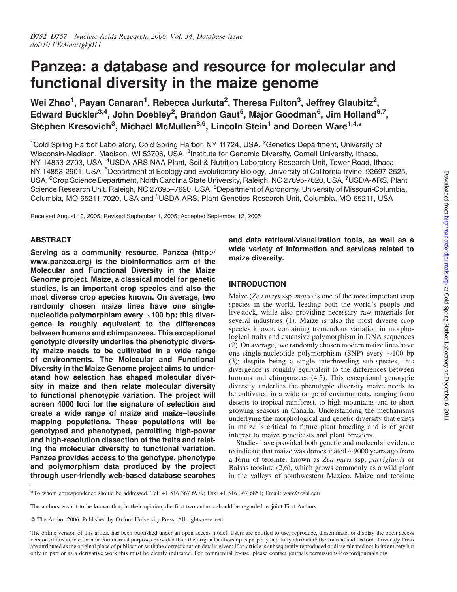# Panzea: a database and resource for molecular and functional diversity in the maize genome

Wei Zhao<sup>1</sup>, Payan Canaran<sup>1</sup>, Rebecca Jurkuta<sup>2</sup>, Theresa Fulton<sup>3</sup>, Jeffrey Glaubitz<sup>2</sup>, Edward Buckler<sup>3,4</sup>, John Doebley<sup>2</sup>, Brandon Gaut<sup>5</sup>, Major Goodman<sup>6</sup>, Jim Holland<sup>6,7</sup>, Stephen Kresovich<sup>3</sup>, Michael McMullen<sup>8,9</sup>, Lincoln Stein<sup>1</sup> and Doreen Ware<sup>1,4,</sup>\*

<sup>1</sup>Cold Spring Harbor Laboratory, Cold Spring Harbor, NY 11724, USA, <sup>2</sup>Genetics Department, University of Wisconsin-Madison, Madison, WI 53706, USA, <sup>3</sup>Institute for Genomic Diversity, Cornell University, Ithaca, NY 14853-2703, USA, <sup>4</sup>USDA-ARS NAA Plant, Soil & Nutrition Laboratory Research Unit, Tower Road, Ithaca, NY 14853-2901, USA, <sup>5</sup>Department of Ecology and Evolutionary Biology, University of California-Irvine, 92697-2525, USA, <sup>6</sup>Crop Science Department, North Carolina State University, Raleigh, NC 27695-7620, USA, <sup>7</sup>USDA-ARS, Plant Science Research Unit, Raleigh, NC 27695-7620, USA, <sup>8</sup>Department of Agronomy, University of Missouri-Columbia, Columbia, MO 65211-7020, USA and <sup>9</sup>USDA-ARS, Plant Genetics Research Unit, Columbia, MO 65211, USA

Received August 10, 2005; Revised September 1, 2005; Accepted September 12, 2005

# ABSTRACT

Serving as a community resource, Panzea (http:// www.panzea.org) is the bioinformatics arm of the Molecular and Functional Diversity in the Maize Genome project. Maize, a classical model for genetic studies, is an important crop species and also the most diverse crop species known. On average, two randomly chosen maize lines have one singlenucleotide polymorphism every  $\sim$ 100 bp; this divergence is roughly equivalent to the differences between humans and chimpanzees. This exceptional genotypic diversity underlies the phenotypic diversity maize needs to be cultivated in a wide range of environments. The Molecular and Functional Diversity in the Maize Genome project aims to understand how selection has shaped molecular diversity in maize and then relate molecular diversity to functional phenotypic variation. The project will screen 4000 loci for the signature of selection and create a wide range of maize and maize–teosinte mapping populations. These populations will be genotyped and phenotyped, permitting high-power and high-resolution dissection of the traits and relating the molecular diversity to functional variation. Panzea provides access to the genotype, phenotype and polymorphism data produced by the project through user-friendly web-based database searches

and data retrieval/visualization tools, as well as a wide variety of information and services related to maize diversity.

# INTRODUCTION

Maize (Zea mays ssp. mays) is one of the most important crop species in the world, feeding both the world's people and livestock, while also providing necessary raw materials for several industries (1). Maize is also the most diverse crop species known, containing tremendous variation in morphological traits and extensive polymorphism in DNA sequences (2). On average, two randomly chosen modern maize lines have one single-nucleotide polymorphism (SNP) every  $\sim$ 100 bp (3); despite being a single interbreeding sub-species, this divergence is roughly equivalent to the differences between humans and chimpanzees  $(4,5)$ . This exceptional genotypic diversity underlies the phenotypic diversity maize needs to be cultivated in a wide range of environments, ranging from deserts to tropical rainforest, to high mountains and to short growing seasons in Canada. Understanding the mechanisms underlying the morphological and genetic diversity that exists in maize is critical to future plant breeding and is of great interest to maize geneticists and plant breeders.

Studies have provided both genetic and molecular evidence to indicate that maize was domesticated  $\sim$ 9000 years ago from a form of teosinte, known as Zea mays ssp. parviglumis or Balsas teosinte (2,6), which grows commonly as a wild plant in the valleys of southwestern Mexico. Maize and teosinte

<sup>\*</sup>To whom correspondence should be addressed. Tel: +1 516 367 6979; Fax: +1 516 367 6851; Email: ware@cshl.edu

The authors wish it to be known that, in their opinion, the first two authors should be regarded as joint First Authors

The Author 2006. Published by Oxford University Press. All rights reserved.

The online version of this article has been published under an open access model. Users are entitled to use, reproduce, disseminate, or display the open access version of this article for non-commercial purposes provided that: the original authorship is properly and fully attributed; the Journal and Oxford University Press are attributed as the original place of publication with the correct citation details given; if an article is subsequently reproduced or disseminated not in its entirety but only in part or as a derivative work this must be clearly indicated. For commercial re-use, please contact journals.permissions@oxfordjournals.org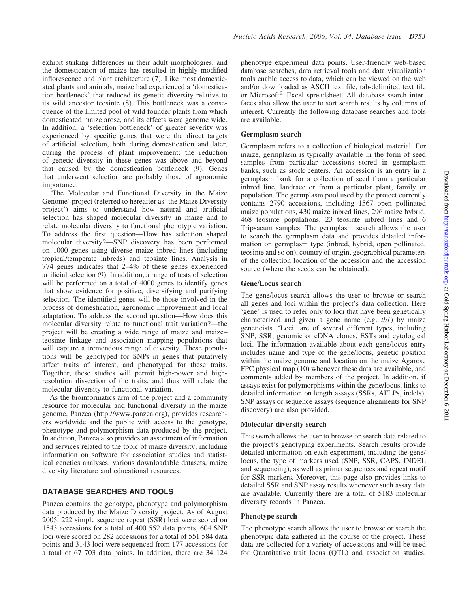exhibit striking differences in their adult morphologies, and the domestication of maize has resulted in highly modified inflorescence and plant architecture (7). Like most domesticated plants and animals, maize had experienced a 'domestication bottleneck' that reduced its genetic diversity relative to its wild ancestor teosinte (8). This bottleneck was a consequence of the limited pool of wild founder plants from which domesticated maize arose, and its effects were genome wide. In addition, a 'selection bottleneck' of greater severity was experienced by specific genes that were the direct targets of artificial selection, both during domestication and later, during the process of plant improvement; the reduction of genetic diversity in these genes was above and beyond that caused by the domestication bottleneck (9). Genes that underwent selection are probably those of agronomic importance.

'The Molecular and Functional Diversity in the Maize Genome' project (referred to hereafter as 'the Maize Diversity project') aims to understand how natural and artificial selection has shaped molecular diversity in maize and to relate molecular diversity to functional phenotypic variation. To address the first question—How has selection shaped molecular diversity?—SNP discovery has been performed on 1000 genes using diverse maize inbred lines (including tropical/temperate inbreds) and teosinte lines. Analysis in 774 genes indicates that 2–4% of these genes experienced artificial selection (9). In addition, a range of tests of selection will be performed on a total of 4000 genes to identify genes that show evidence for positive, diversifying and purifying selection. The identified genes will be those involved in the process of domestication, agronomic improvement and local adaptation. To address the second question—How does this molecular diversity relate to functional trait variation?—the project will be creating a wide range of maize and maize– teosinte linkage and association mapping populations that will capture a tremendous range of diversity. These populations will be genotyped for SNPs in genes that putatively affect traits of interest, and phenotyped for these traits. Together, these studies will permit high-power and highresolution dissection of the traits, and thus will relate the molecular diversity to functional variation.

As the bioinformatics arm of the project and a community resource for molecular and functional diversity in the maize genome, Panzea (http://www.panzea.org), provides researchers worldwide and the public with access to the genotype, phenotype and polymorphism data produced by the project. In addition, Panzea also provides an assortment of information and services related to the topic of maize diversity, including information on software for association studies and statistical genetics analyses, various downloadable datasets, maize diversity literature and educational resources.

# DATABASE SEARCHES AND TOOLS

Panzea contains the genotype, phenotype and polymorphism data produced by the Maize Diversity project. As of August 2005, 222 simple sequence repeat (SSR) loci were scored on 1543 accessions for a total of 400 552 data points, 604 SNP loci were scored on 282 accessions for a total of 551 584 data points and 3143 loci were sequenced from 177 accessions for a total of 67 703 data points. In addition, there are 34 124

phenotype experiment data points. User-friendly web-based database searches, data retrieval tools and data visualization tools enable access to data, which can be viewed on the web and/or downloaded as ASCII text file, tab-delimited text file or Microsoft® Excel spreadsheet. All database search interfaces also allow the user to sort search results by columns of interest. Currently the following database searches and tools are available.

#### Germplasm search

Germplasm refers to a collection of biological material. For maize, germplasm is typically available in the form of seed samples from particular accessions stored in germplasm banks, such as stock centers. An accession is an entry in a germplasm bank for a collection of seed from a particular inbred line, landrace or from a particular plant, family or population. The germplasm pool used by the project currently contains 2790 accessions, including 1567 open pollinated maize populations, 430 maize inbred lines, 296 maize hybrid, 468 teosinte populations, 23 teosinte inbred lines and 6 Tripsacum samples. The germplasm search allows the user to search the germplasm data and provides detailed information on germplasm type (inbred, hybrid, open pollinated, teosinte and so on), country of origin, geographical parameters of the collection location of the accession and the accession source (where the seeds can be obtained).

#### Gene/Locus search

The gene/locus search allows the user to browse or search all genes and loci within the project's data collection. Here 'gene' is used to refer only to loci that have been genetically characterized and given a gene name (e.g. tb1) by maize geneticists. 'Loci' are of several different types, including SNP, SSR, genomic or cDNA clones, ESTs and cytological loci. The information available about each gene/locus entry includes name and type of the gene/locus, genetic position within the maize genome and location on the maize Agarose FPC physical map (10) whenever these data are available, and comments added by members of the project. In addition, if assays exist for polymorphisms within the gene/locus, links to detailed information on length assays (SSRs, AFLPs, indels), SNP assays or sequence assays (sequence alignments for SNP discovery) are also provided.

#### Molecular diversity search

This search allows the user to browse or search data related to the project's genotyping experiments. Search results provide detailed information on each experiment, including the gene/ locus, the type of markers used (SNP, SSR, CAPS, INDEL and sequencing), as well as primer sequences and repeat motif for SSR markers. Moreover, this page also provides links to detailed SSR and SNP assay results whenever such assay data are available. Currently there are a total of 5183 molecular diversity records in Panzea.

#### Phenotype search

The phenotype search allows the user to browse or search the phenotypic data gathered in the course of the project. These data are collected for a variety of accessions and will be used for Quantitative trait locus (QTL) and association studies.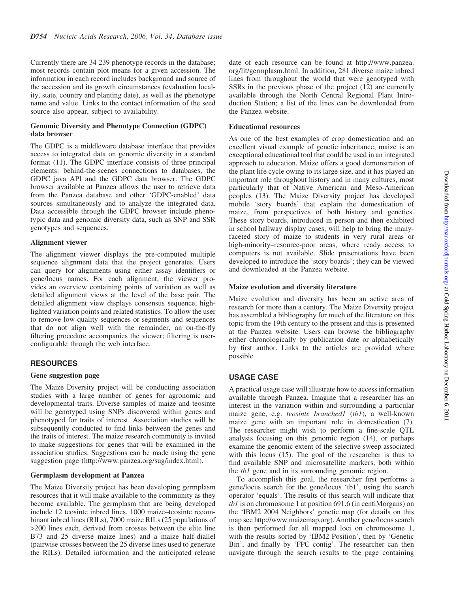Currently there are 34 239 phenotype records in the database; most records contain plot means for a given accession. The information in each record includes background and source of the accession and its growth circumstances (evaluation locality, state, country and planting date), as well as the phenotype name and value. Links to the contact information of the seed source also appear, subject to availability.

#### Genomic Diversity and Phenotype Connection (GDPC) data browser

The GDPC is a middleware database interface that provides access to integrated data on genomic diversity in a standard format (11). The GDPC interface consists of three principal elements: behind-the-scenes connections to databases, the GDPC java API and the GDPC data browser. The GDPC browser available at Panzea allows the user to retrieve data from the Panzea database and other 'GDPC-enabled' data sources simultaneously and to analyze the integrated data. Data accessible through the GDPC browser include phenotypic data and genomic diversity data, such as SNP and SSR genotypes and sequences.

#### Alignment viewer

The alignment viewer displays the pre-computed multiple sequence alignment data that the project generates. Users can query for alignments using either assay identifiers or gene/locus names. For each alignment, the viewer provides an overview containing points of variation as well as detailed alignment views at the level of the base pair. The detailed alignment view displays consensus sequence, highlighted variation points and related statistics. To allow the user to remove low-quality sequences or segments and sequences that do not align well with the remainder, an on-the-fly filtering procedure accompanies the viewer; filtering is userconfigurable through the web interface.

# **RESOURCES**

#### Gene suggestion page

The Maize Diversity project will be conducting association studies with a large number of genes for agronomic and developmental traits. Diverse samples of maize and teosinte will be genotyped using SNPs discovered within genes and phenotyped for traits of interest. Association studies will be subsequently conducted to find links between the genes and the traits of interest. The maize research community is invited to make suggestions for genes that will be examined in the association studies. Suggestions can be made using the gene suggestion page (http://www.panzea.org/sug/index.html).

#### Germplasm development at Panzea

The Maize Diversity project has been developing germplasm resources that it will make available to the community as they become available. The germplasm that are being developed include 12 teosinte inbred lines, 1000 maize–teosinte recombinant inbred lines (RILs), 7000 maize RILs (25 populations of >200 lines each, derived from crosses between the elite line B73 and 25 diverse maize lines) and a maize half-diallel (pairwise crosses between the 25 diverse lines used to generate the RILs). Detailed information and the anticipated release date of each resource can be found at http://www.panzea. org/lit/germplasm.html. In addition, 281 diverse maize inbred lines from throughout the world that were genotyped with SSRs in the previous phase of the project (12) are currently available through the North Central Regional Plant Introduction Station; a list of the lines can be downloaded from the Panzea website.

#### Educational resources

As one of the best examples of crop domestication and an excellent visual example of genetic inheritance, maize is an exceptional educational tool that could be used in an integrated approach to education. Maize offers a good demonstration of the plant life cycle owing to its large size, and it has played an important role throughout history and in many cultures, most particularly that of Native American and Meso-American peoples (13). The Maize Diversity project has developed mobile 'story boards' that explain the domestication of maize, from perspectives of both history and genetics. These story boards, introduced in person and then exhibited in school hallway display cases, will help to bring the manyfaceted story of maize to students in very rural areas or high-minority–resource-poor areas, where ready access to computers is not available. Slide presentations have been developed to introduce the 'story boards'; they can be viewed and downloaded at the Panzea website.

#### Maize evolution and diversity literature

Maize evolution and diversity has been an active area of research for more than a century. The Maize Diversity project has assembled a bibliography for much of the literature on this topic from the 19th century to the present and this is presented at the Panzea website. Users can browse the bibliography either chronologically by publication date or alphabetically by first author. Links to the articles are provided where possible.

# USAGE CASE

A practical usage case will illustrate how to access information available through Panzea. Imagine that a researcher has an interest in the variation within and surrounding a particular maize gene, e.g. teosinte branched1 (tb1), a well-known maize gene with an important role in domestication (7). The researcher might wish to perform a fine-scale QTL analysis focusing on this genomic region (14), or perhaps examine the genomic extent of the selective sweep associated with this locus (15). The goal of the researcher is thus to find available SNP and microsatellite markers, both within the *tb1* gene and in its surrounding genomic region.

To accomplish this goal, the researcher first performs a gene/locus search for the gene/locus 'tb1', using the search operator 'equals'. The results of this search will indicate that tb1 is on chromosome 1 at position 691.6 (in centiMorgans) on the 'IBM2 2004 Neighbors' genetic map (for details on this map see http://www.maizemap.org). Another gene/locus search is then performed for all mapped loci on chromosome 1, with the results sorted by 'IBM2 Position', then by 'Genetic Bin', and finally by 'FPC contig'. The researcher can then navigate through the search results to the page containing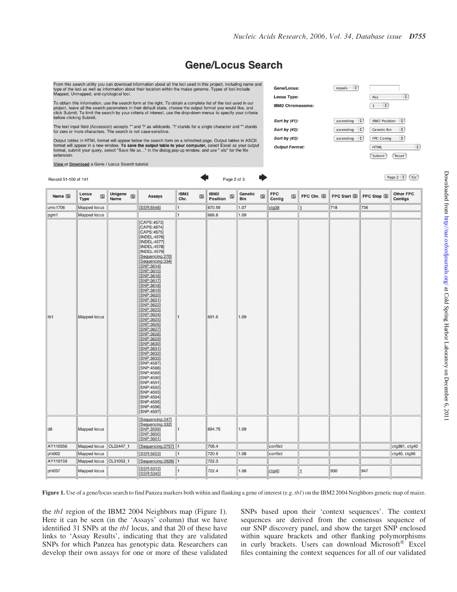Gene/Locus: Locus Type:

Sort by (#1):

Sort by (#2):

Sort by (#3):

**Output Format:** 

**IBM2 Chromosome:** 

 $\left[$  equals  $\left[$   $\frac{1}{2}\right]$ 

 $\sqrt{a}$  ascending  $\frac{1}{2}$ 

 $\left($  ascending  $\left| \begin{array}{cc} \bullet \\ \bullet \end{array} \right|$ 

 $\sqrt{a}$  ascending  $\div$ 

ALL

 $\boxed{1}$ 

Genetic Bin

FPC Contig

**HTML** 

**IBM2 Position** :

Submit (Reset)

÷

 $\overline{\cdot}$ 

 $\ddot{\cdot}$ 

 $\overline{\cdot}$ 

# **Gene/Locus Search**

From this search utility you can download information about all the loci used in this project, including name and type of the loci as well as information about their location within the maize genome. Types of loci include

To obtain this information, use the search form at the right. To obtain a complete list of the loci used in our project, leave all the search parameters in their default state, choose the output format you would like, and<br>click Submit. To limit the search by your criteria of interest, use the drop-down menus to specify your criteria before clicking Submit.

The text input field (Accession) accepts "' and '?' as wildcards. '?' stands for a single character and "' stands for zero or more characters. The search is not case-sensitive.

Output tables in HTML format will appear below the search form on a refreshed page. Output tables in ASCII format will appear in a new window. To save the output table to your computer, select Excel as your output format, submit your query, select "Save file as..." in the dialog pop-up window, and use ".xls" for the file extension.

| <u>view</u> or <b>Download</b> a Gene / Locus Search tutorial |                                              |             |                 |             |                                                                                                                                                                                                                                                                                                                                                                                                                                                                                                                                                                                                       |                             |                         |             |                       |             |                      |             |            |             |              |                       |
|---------------------------------------------------------------|----------------------------------------------|-------------|-----------------|-------------|-------------------------------------------------------------------------------------------------------------------------------------------------------------------------------------------------------------------------------------------------------------------------------------------------------------------------------------------------------------------------------------------------------------------------------------------------------------------------------------------------------------------------------------------------------------------------------------------------------|-----------------------------|-------------------------|-------------|-----------------------|-------------|----------------------|-------------|------------|-------------|--------------|-----------------------|
| Page 2 of 3<br>Record 51-100 of 141                           |                                              |             |                 |             |                                                                                                                                                                                                                                                                                                                                                                                                                                                                                                                                                                                                       |                             |                         |             |                       |             |                      |             |            |             |              | Page $2$ $\div$<br>Co |
| Name S                                                        | Locus<br><b>Type</b>                         | $\circledS$ | Unigene<br>Name | $\circledS$ | <b>Assays</b>                                                                                                                                                                                                                                                                                                                                                                                                                                                                                                                                                                                         | IBM2<br>$\circledS$<br>Chr. | IBM2<br><b>Position</b> | $\circledS$ | Genetic<br><b>Bin</b> | $\circledS$ | <b>FPC</b><br>Contig | $\circledS$ | FPC Chr. S | FPC Start S | FPC Stop (S) | Other FPC<br>Contigs  |
| umc1706                                                       |                                              |             |                 |             | [SSR:5548]                                                                                                                                                                                                                                                                                                                                                                                                                                                                                                                                                                                            | 1                           | 670.59                  |             | 1.07                  |             | ctg38                |             | 1          | 718         | 736          |                       |
| pgm1                                                          |                                              |             |                 |             |                                                                                                                                                                                                                                                                                                                                                                                                                                                                                                                                                                                                       | 1                           | 688.8                   |             | 1.09                  |             |                      |             |            |             |              |                       |
| tb1                                                           | Mapped locus<br>Mapped locus<br>Mapped locus |             |                 |             | [CAPS:4573]<br>[CAPS:4574]<br>[CAPS:4575]<br>[INDEL:4576]<br>[INDEL:4577]<br>[INDEL:4578]<br>[INDEL:4579]<br>[Sequencing:270]<br>[Sequencing:334]<br>[SNP:3614]<br>[SNP:3615]<br>[SNP:3616]<br>[SNP:3617]<br>[SNP:3618]<br>[SNP:3619]<br>[SNP:3620]<br>[SNP:3621]<br>[SNP:3622]<br>[SNP:3623]<br>[SNP:3624]<br>[SNP:3625]<br>[SNP:3626]<br>[SNP:3627]<br>[SNP:3628]<br>[SNP:3629]<br>[SNP:3630]<br>[SNP:3631]<br>[SNP:3632]<br>[SNP:3633]<br>[SNP:4587]<br>[SNP:4588]<br>[SNP:4589]<br>[SNP:4590]<br>[SNP:4591]<br>[SNP:4592]<br>$[SNP:4593]$<br>[SNP:4594]<br>[SNP:4595]<br>[SNP:4596]<br>[SNP:4597] | 1                           | 691.6                   |             | 1.09                  |             |                      |             |            |             |              |                       |
| d8                                                            | Mapped locus                                 |             |                 |             | [Sequencing: 247]<br>[Sequencing: 332]<br>[SNP:3599]<br>[SNP:3600]<br>[SNP:3601]                                                                                                                                                                                                                                                                                                                                                                                                                                                                                                                      | 1                           | 694.75                  |             | 1.09                  |             |                      |             |            |             |              |                       |
| AY110356                                                      | Mapped locus                                 |             | CL22447_1       |             | [Sequencing:2757]                                                                                                                                                                                                                                                                                                                                                                                                                                                                                                                                                                                     | 1                           | 706.4                   |             |                       |             | conflict             |             |            |             |              | ctg361, ctg40         |
| phi002                                                        | Mapped locus                                 |             |                 |             | [SSR:5653]                                                                                                                                                                                                                                                                                                                                                                                                                                                                                                                                                                                            | 1                           | 720.9                   |             | 1.08                  |             | conflict             |             |            |             |              | ctg40, ctg96          |
| AY110159                                                      | Mapped locus                                 |             | CL31053_1       |             | [Sequencing: 2826]                                                                                                                                                                                                                                                                                                                                                                                                                                                                                                                                                                                    | 1                           | 722.3                   |             |                       |             |                      |             |            |             |              |                       |
| phi037                                                        | Mapped locus                                 |             |                 |             | [SSR:5312]<br>[SSR:5345]                                                                                                                                                                                                                                                                                                                                                                                                                                                                                                                                                                              | 1                           | 722.4                   |             | 1.08                  |             | ctg40                |             | 1          | 930         | 947          |                       |

Figure 1. Use of a gene/locus search to find Panzea markers both within and flanking a gene of interest (e.g. tb1) on the IBM2 2004 Neighbors genetic map of maize.

the tb1 region of the IBM2 2004 Neighbors map (Figure 1). Here it can be seen (in the 'Assays' column) that we have identified 31 SNPs at the *tb1* locus, and that 20 of these have links to 'Assay Results', indicating that they are validated SNPs for which Panzea has genotypic data. Researchers can develop their own assays for one or more of these validated SNPs based upon their 'context sequences'. The context sequences are derived from the consensus sequence of our SNP discovery panel, and show the target SNP enclosed within square brackets and other flanking polymorphisms in curly brackets. Users can download Microsoft® Excel files containing the context sequences for all of our validated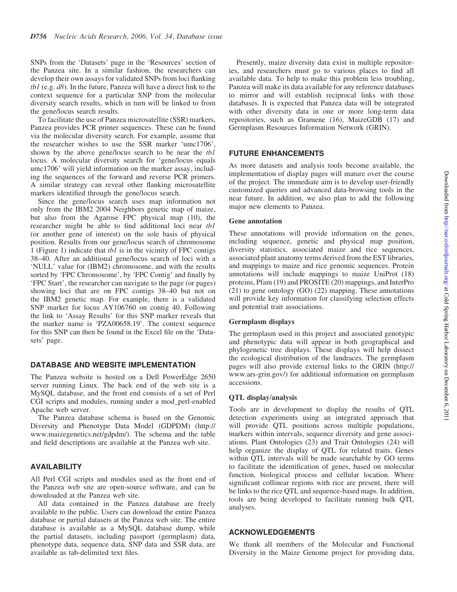SNPs from the 'Datasets' page in the 'Resources' section of the Panzea site. In a similar fashion, the researchers can develop their own assays for validated SNPs from loci flanking  $tbI$  (e.g.  $d8$ ). In the future, Panzea will have a direct link to the context sequence for a particular SNP from the molecular diversity search results, which in turn will be linked to from the gene/locus search results.

To facilitate the use of Panzea microsatellite (SSR) markers, Panzea provides PCR primer sequences. These can be found via the molecular diversity search. For example, assume that the researcher wishes to use the SSR marker 'umc1706', shown by the above gene/locus search to be near the *tb1* locus. A molecular diversity search for 'gene/locus equals umc1706' will yield information on the marker assay, including the sequences of the forward and reverse PCR primers. A similar strategy can reveal other flanking microsatellite markers identified through the gene/locus search.

Since the gene/locus search uses map information not only from the IBM2 2004 Neighbors genetic map of maize, but also from the Agarose FPC physical map (10), the researcher might be able to find additional loci near tb1 (or another gene of interest) on the sole basis of physical position. Results from our gene/locus search of chromosome 1 (Figure 1) indicate that tb1 is in the vicinity of FPC contigs 38–40. After an additional gene/locus search of loci with a 'NULL' value for (IBM2) chromosome, and with the results sorted by 'FPC Chromosome', by 'FPC Contig' and finally by 'FPC Start', the researcher can navigate to the page (or pages) showing loci that are on FPC contigs 38–40 but not on the IBM2 genetic map. For example, there is a validated SNP marker for locus AY106760 on contig 40. Following the link to 'Assay Results' for this SNP marker reveals that the marker name is 'PZA00658.19'. The context sequence for this SNP can then be found in the Excel file on the 'Datasets' page.

## DATABASE AND WEBSITE IMPLEMENTATION

The Panzea website is hosted on a Dell PowerEdge 2650 server running Linux. The back end of the web site is a MySQL database, and the front end consists of a set of Perl CGI scripts and modules, running under a mod\_perl-enabled Apache web server.

The Panzea database schema is based on the Genomic Diversity and Phenotype Data Model (GDPDM) (http:// www.maizegenetics.net/gdpdm/). The schema and the table and field descriptions are available at the Panzea web site.

#### AVAILABILITY

All Perl CGI scripts and modules used as the front end of the Panzea web site are open-source software, and can be downloaded at the Panzea web site.

All data contained in the Panzea database are freely available to the public. Users can download the entire Panzea database or partial datasets at the Panzea web site. The entire database is available as a MySQL database dump, while the partial datasets, including passport (germplasm) data, phenotype data, sequence data, SNP data and SSR data, are available as tab-delimited text files.

Presently, maize diversity data exist in multiple repositories, and researchers must go to various places to find all available data. To help to make this problem less troubling, Panzea will make its data available for any reference databases to mirror and will establish reciprocal links with those databases. It is expected that Panzea data will be integrated with other diversity data in one or more long-term data repositories, such as Gramene (16), MaizeGDB (17) and Germplasm Resources Information Network (GRIN).

# FUTURE ENHANCEMENTS

As more datasets and analysis tools become available, the implementation of display pages will mature over the course of the project. The immediate aim is to develop user-friendly customized queries and advanced data-browsing tools in the near future. In addition, we also plan to add the following major new elements to Panzea.

#### Gene annotation

These annotations will provide information on the genes, including sequence, genetic and physical map position, diversity statistics, associated maize and rice sequences, associated plant anatomy terms derived from the EST libraries, and mappings to maize and rice genomic sequences. Protein annotations will include mappings to maize UniProt (18) proteins, Pfam (19) and PROSITE (20) mappings, and InterPro (21) to gene ontology (GO) (22) mapping. These annotations will provide key information for classifying selection effects and potential trait associations.

#### Germplasm displays

The germplasm used in this project and associated genotypic and phenotypic data will appear in both geographical and phylogenetic tree displays. These displays will help dissect the ecological distribution of the landraces. The germplasm pages will also provide external links to the GRIN (http:// www.ars-grin.gov/) for additional information on germplasm accessions.

#### QTL display/analysis

Tools are in development to display the results of QTL detection experiments using an integrated approach that will provide OTL positions across multiple populations, markers within intervals, sequence diversity and gene associations. Plant Ontologies (23) and Trait Ontologies (24) will help organize the display of QTL for related traits. Genes within QTL intervals will be made searchable by GO terms to facilitate the identification of genes, based on molecular function, biological process and cellular location. Where significant collinear regions with rice are present, there will be links to the rice QTL and sequence-based maps. In addition, tools are being developed to facilitate running bulk QTL analyses.

#### ACKNOWLEDGEMENTS

We thank all members of the Molecular and Functional Diversity in the Maize Genome project for providing data,